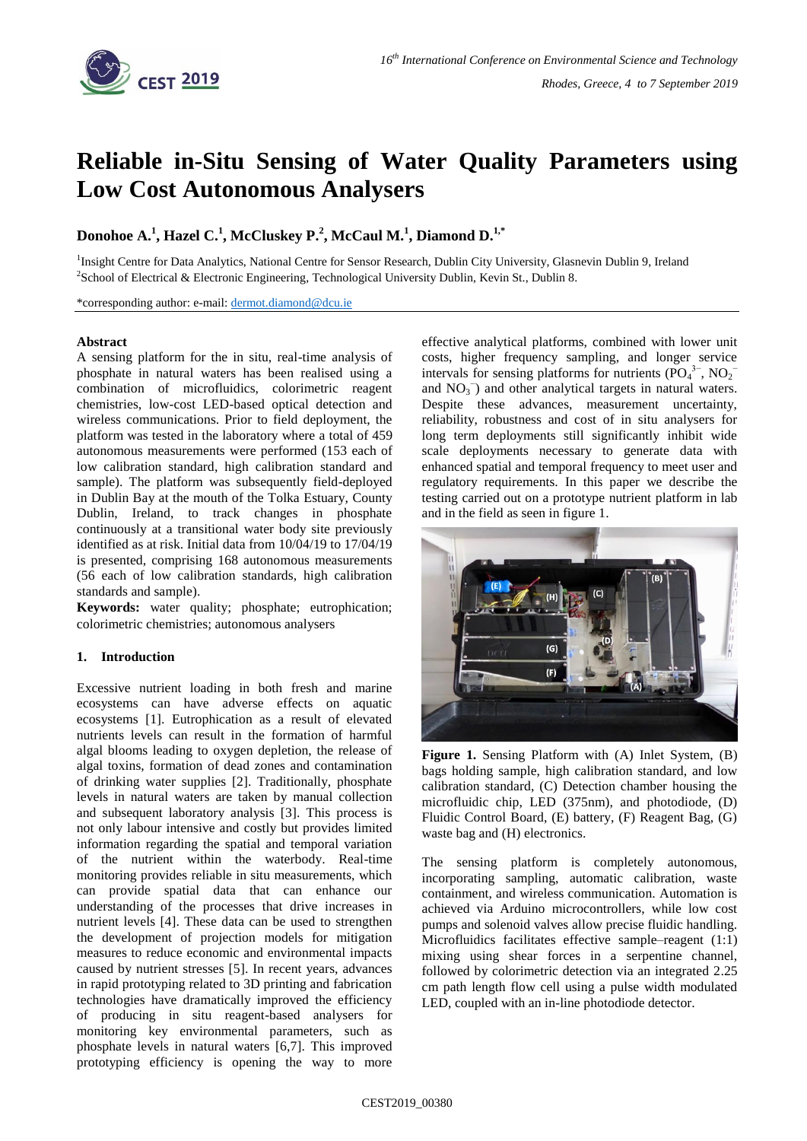

# **Reliable in-Situ Sensing of Water Quality Parameters using Low Cost Autonomous Analysers**

**Donohoe A.<sup>1</sup> , Hazel C.<sup>1</sup> , McCluskey P. 2 , McCaul M.<sup>1</sup> , Diamond D. 1,\***

<sup>1</sup>Insight Centre for Data Analytics, National Centre for Sensor Research, Dublin City University, Glasnevin Dublin 9, Ireland <sup>2</sup>School of Electrical & Electronic Engineering, Technological University Dublin, Kevin St., Dublin 8.

\*corresponding author: e-mail: [dermot.diamond@dcu.ie](mailto:dermot.diamond@dcu.ie)

## **Abstract**

A sensing platform for the in situ, real-time analysis of phosphate in natural waters has been realised using a combination of microfluidics, colorimetric reagent chemistries, low-cost LED-based optical detection and wireless communications. Prior to field deployment, the platform was tested in the laboratory where a total of 459 autonomous measurements were performed (153 each of low calibration standard, high calibration standard and sample). The platform was subsequently field-deployed in Dublin Bay at the mouth of the Tolka Estuary, County Dublin, Ireland, to track changes in phosphate continuously at a transitional water body site previously identified as at risk. Initial data from 10/04/19 to 17/04/19 is presented, comprising 168 autonomous measurements (56 each of low calibration standards, high calibration standards and sample).

**Keywords:** water quality; phosphate; eutrophication; colorimetric chemistries; autonomous analysers

## **1. Introduction**

Excessive nutrient loading in both fresh and marine ecosystems can have adverse effects on aquatic ecosystems [1]. Eutrophication as a result of elevated nutrients levels can result in the formation of harmful algal blooms leading to oxygen depletion, the release of algal toxins, formation of dead zones and contamination of drinking water supplies [2]. Traditionally, phosphate levels in natural waters are taken by manual collection and subsequent laboratory analysis [3]. This process is not only labour intensive and costly but provides limited information regarding the spatial and temporal variation of the nutrient within the waterbody. Real-time monitoring provides reliable in situ measurements, which can provide spatial data that can enhance our understanding of the processes that drive increases in nutrient levels [4]. These data can be used to strengthen the development of projection models for mitigation measures to reduce economic and environmental impacts caused by nutrient stresses [5]. In recent years, advances in rapid prototyping related to 3D printing and fabrication technologies have dramatically improved the efficiency of producing in situ reagent-based analysers for monitoring key environmental parameters, such as phosphate levels in natural waters [6,7]. This improved prototyping efficiency is opening the way to more effective analytical platforms, combined with lower unit costs, higher frequency sampling, and longer service intervals for sensing platforms for nutrients  $(PO_4^{3-}$ ,  $NO_2^{-}$ and  $NO<sub>3</sub>^-$ ) and other analytical targets in natural waters. Despite these advances, measurement uncertainty, reliability, robustness and cost of in situ analysers for long term deployments still significantly inhibit wide scale deployments necessary to generate data with enhanced spatial and temporal frequency to meet user and regulatory requirements. In this paper we describe the testing carried out on a prototype nutrient platform in lab and in the field as seen in figure 1.



**Figure 1.** Sensing Platform with (A) Inlet System, (B) bags holding sample, high calibration standard, and low calibration standard, (C) Detection chamber housing the microfluidic chip, LED (375nm), and photodiode, (D) Fluidic Control Board, (E) battery, (F) Reagent Bag, (G) waste bag and (H) electronics.

The sensing platform is completely autonomous, incorporating sampling, automatic calibration, waste containment, and wireless communication. Automation is achieved via Arduino microcontrollers, while low cost pumps and solenoid valves allow precise fluidic handling. Microfluidics facilitates effective sample–reagent (1:1) mixing using shear forces in a serpentine channel, followed by colorimetric detection via an integrated 2.25 cm path length flow cell using a pulse width modulated LED, coupled with an in-line photodiode detector.